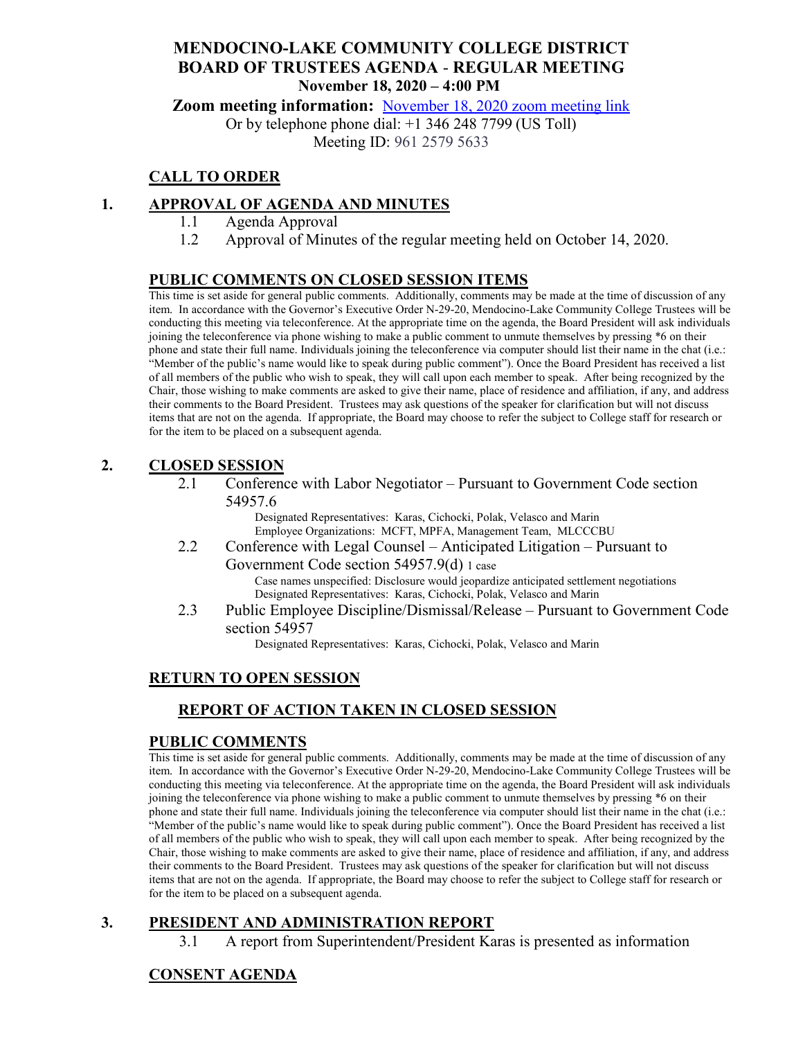### **MENDOCINO-LAKE COMMUNITY COLLEGE DISTRICT BOARD OF TRUSTEES AGENDA** - **REGULAR MEETING November 18, 2020 – 4:00 PM**

**Zoom meeting information:** [November 18, 2020 zoom meeting link](https://cccconfer.zoom.us/s/96125795633)

Or by telephone phone dial: +1 346 248 7799 (US Toll)

Meeting ID: 961 2579 5633

## **CALL TO ORDER**

### **1. APPROVAL OF AGENDA AND MINUTES**

- 1.1 Agenda Approval
- 1.2 Approval of Minutes of the regular meeting held on October 14, 2020.

#### **PUBLIC COMMENTS ON CLOSED SESSION ITEMS**

This time is set aside for general public comments. Additionally, comments may be made at the time of discussion of any item. In accordance with the Governor's Executive Order N-29-20, Mendocino-Lake Community College Trustees will be conducting this meeting via teleconference. At the appropriate time on the agenda, the Board President will ask individuals joining the teleconference via phone wishing to make a public comment to unmute themselves by pressing \*6 on their phone and state their full name. Individuals joining the teleconference via computer should list their name in the chat (i.e.: "Member of the public's name would like to speak during public comment"). Once the Board President has received a list of all members of the public who wish to speak, they will call upon each member to speak. After being recognized by the Chair, those wishing to make comments are asked to give their name, place of residence and affiliation, if any, and address their comments to the Board President. Trustees may ask questions of the speaker for clarification but will not discuss items that are not on the agenda. If appropriate, the Board may choose to refer the subject to College staff for research or for the item to be placed on a subsequent agenda.

#### **2. CLOSED SESSION**

2.1 Conference with Labor Negotiator – Pursuant to Government Code section 54957.6

Designated Representatives: Karas, Cichocki, Polak, Velasco and Marin Employee Organizations: MCFT, MPFA, Management Team, MLCCCBU

2.2 Conference with Legal Counsel – Anticipated Litigation – Pursuant to Government Code section 54957.9(d) 1 case

> Case names unspecified: Disclosure would jeopardize anticipated settlement negotiations Designated Representatives: Karas, Cichocki, Polak, Velasco and Marin

2.3 Public Employee Discipline/Dismissal/Release – Pursuant to Government Code section 54957

Designated Representatives: Karas, Cichocki, Polak, Velasco and Marin

#### **RETURN TO OPEN SESSION**

### **REPORT OF ACTION TAKEN IN CLOSED SESSION**

#### **PUBLIC COMMENTS**

This time is set aside for general public comments. Additionally, comments may be made at the time of discussion of any item. In accordance with the Governor's Executive Order N-29-20, Mendocino-Lake Community College Trustees will be conducting this meeting via teleconference. At the appropriate time on the agenda, the Board President will ask individuals joining the teleconference via phone wishing to make a public comment to unmute themselves by pressing \*6 on their phone and state their full name. Individuals joining the teleconference via computer should list their name in the chat (i.e.: "Member of the public's name would like to speak during public comment"). Once the Board President has received a list of all members of the public who wish to speak, they will call upon each member to speak. After being recognized by the Chair, those wishing to make comments are asked to give their name, place of residence and affiliation, if any, and address their comments to the Board President. Trustees may ask questions of the speaker for clarification but will not discuss items that are not on the agenda. If appropriate, the Board may choose to refer the subject to College staff for research or for the item to be placed on a subsequent agenda.

# **3. PRESIDENT AND ADMINISTRATION REPORT**

3.1 A report from Superintendent/President Karas is presented as information

### **CONSENT AGENDA**